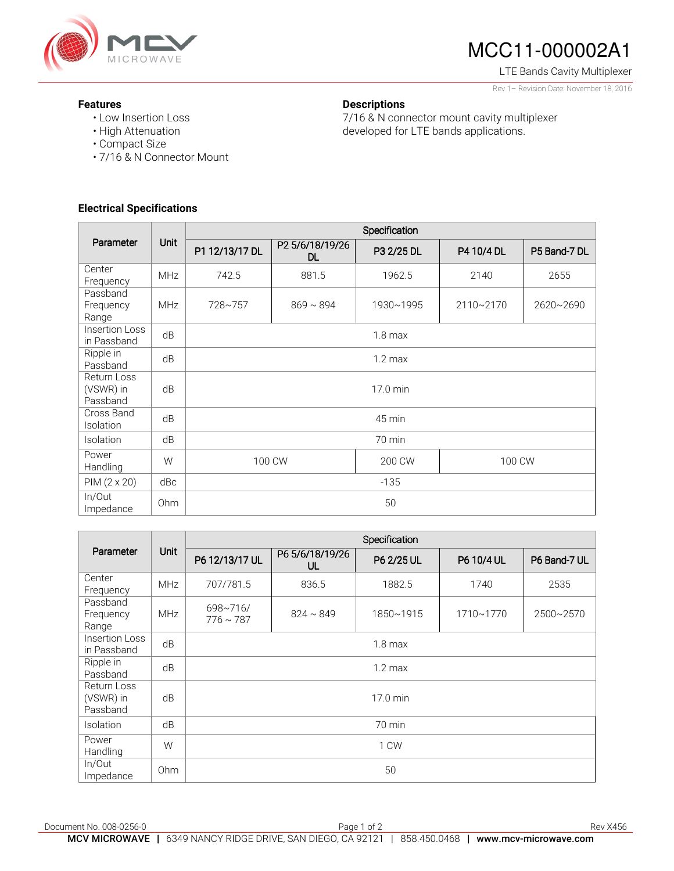

**Features** 

# MCC11-000002A1

LTE Bands Cavity Multiplexer

#### Rev 1– Revision Date: November 18, 2016

### **Descriptions**

7/16 & N connector mount cavity multiplexer developed for LTE bands applications.

- Low Insertion Loss
- High Attenuation
- Compact Size
- 7/16 & N Connector Mount

### **Electrical Specifications**

| Parameter                            | Unit       | Specification      |                              |            |            |              |  |
|--------------------------------------|------------|--------------------|------------------------------|------------|------------|--------------|--|
|                                      |            | P1 12/13/17 DL     | P2 5/6/18/19/26<br><b>DL</b> | P3 2/25 DL | P4 10/4 DL | P5 Band-7 DL |  |
| Center<br>Frequency                  | <b>MHz</b> | 742.5              | 881.5                        | 1962.5     | 2140       | 2655         |  |
| Passband<br>Frequency<br>Range       | <b>MHz</b> | 728~757            | $869 \sim 894$               | 1930~1995  | 2110~2170  | 2620~2690    |  |
| Insertion Loss<br>in Passband        | dB         | 1.8 <sub>max</sub> |                              |            |            |              |  |
| Ripple in<br>Passband                | dB         | $1.2 \text{ max}$  |                              |            |            |              |  |
| Return Loss<br>(VSWR) in<br>Passband | dB         | 17.0 min           |                              |            |            |              |  |
| Cross Band<br>Isolation              | dB         | 45 min             |                              |            |            |              |  |
| Isolation                            | dB         | 70 min             |                              |            |            |              |  |
| Power<br>Handling                    | W          | 100 CW             |                              | 200 CW     | 100 CW     |              |  |
| $PIM(2 \times 20)$                   | dBc        | $-135$             |                              |            |            |              |  |
| In/Out<br>Impedance                  | Ohm        | 50                 |                              |            |            |              |  |

| Parameter                            | <b>Unit</b> | Specification              |                       |            |            |              |  |
|--------------------------------------|-------------|----------------------------|-----------------------|------------|------------|--------------|--|
|                                      |             | P6 12/13/17 UL             | P6 5/6/18/19/26<br>UL | P6 2/25 UL | P6 10/4 UL | P6 Band-7 UL |  |
| Center<br>Frequency                  | <b>MHz</b>  | 707/781.5                  | 836.5                 | 1882.5     | 1740       | 2535         |  |
| Passband<br>Frequency<br>Range       | <b>MHz</b>  | 698~716/<br>$776 \sim 787$ | $824 \sim 849$        | 1850~1915  | 1710~1770  | 2500~2570    |  |
| Insertion Loss<br>in Passband        | dB          | 1.8 <sub>max</sub>         |                       |            |            |              |  |
| Ripple in<br>Passband                | dB          | $1.2 \text{ max}$          |                       |            |            |              |  |
| Return Loss<br>(VSWR) in<br>Passband | dB          | 17.0 min                   |                       |            |            |              |  |
| Isolation                            | dB          | 70 min                     |                       |            |            |              |  |
| Power<br>Handling                    | W           | 1 CW                       |                       |            |            |              |  |
| In/Out<br>Impedance                  | Ohm         | 50                         |                       |            |            |              |  |